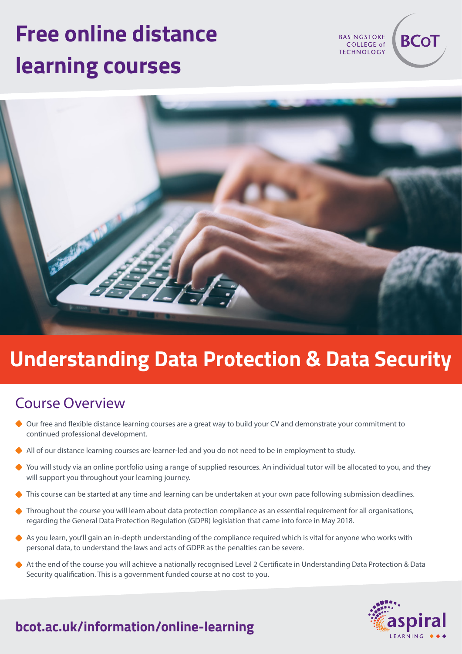# **Free online distance learning courses**

**BASINGSTOKE** COLLEGE of **TECHNOLOGY** 

**BCo1** 



## **Understanding Data Protection & Data Security**

#### Course Overview

- Our free and flexible distance learning courses are a great way to build your CV and demonstrate your commitment to continued professional development.
- All of our distance learning courses are learner-led and you do not need to be in employment to study.
- ◆ You will study via an online portfolio using a range of supplied resources. An individual tutor will be allocated to you, and they will support you throughout your learning journey.
- This course can be started at any time and learning can be undertaken at your own pace following submission deadlines.
- ◆ Throughout the course you will learn about data protection compliance as an essential requirement for all organisations, regarding the General Data Protection Regulation (GDPR) legislation that came into force in May 2018.
- As you learn, you'll gain an in-depth understanding of the compliance required which is vital for anyone who works with personal data, to understand the laws and acts of GDPR as the penalties can be severe.
- At the end of the course you will achieve a nationally recognised Level 2 Certificate in Understanding Data Protection & Data Security qualification. This is a government funded course at no cost to you.



## **bcot.ac.uk/information/online-learning**